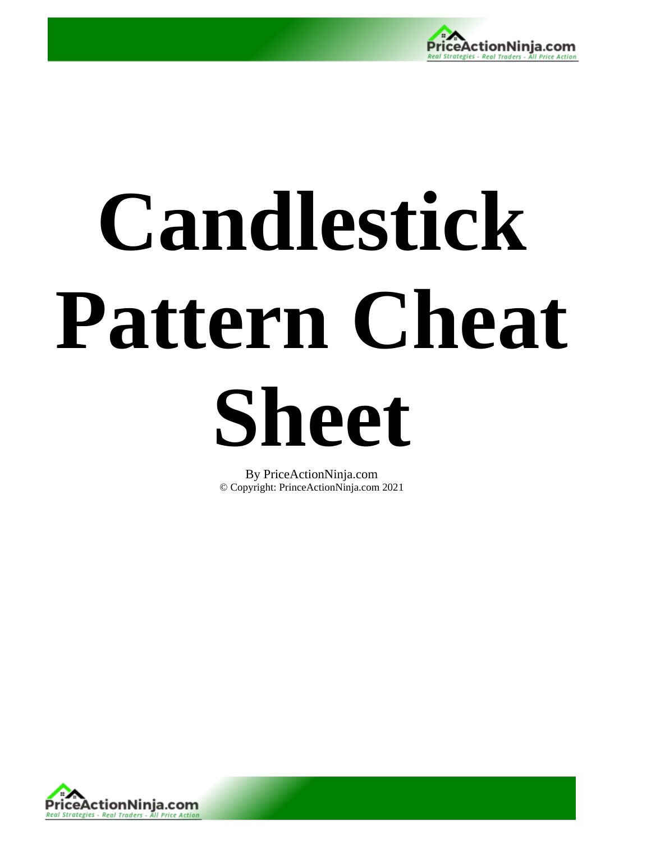

# **Candlestick Pattern Cheat**

**Sheet** 

By PriceActionNinja.com © Copyright: PrinceActionNinja.com 2021

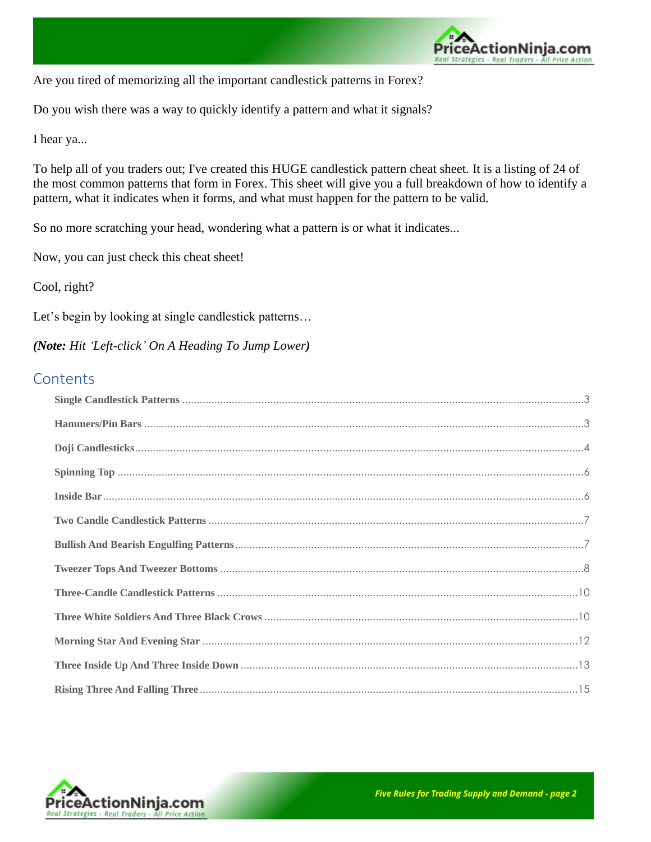

Are you tired of memorizing all the important candlestick patterns in Forex?

Do you wish there was a way to quickly identify a pattern and what it signals?

I hear ya...

To help all of you traders out; I've created this HUGE candlestick pattern cheat sheet. It is a listing of 24 of the most common patterns that form in Forex. This sheet will give you a full breakdown of how to identify a pattern, what it indicates when it forms, and what must happen for the pattern to be valid.

So no more scratching your head, wondering what a pattern is or what it indicates...

Now, you can just check this cheat sheet!

Cool, right?

Let's begin by looking at single candlestick patterns...

*(Note: Hit 'Left-click' On A Heading To Jump Lower)*

#### **Contents**

| $\pmb{Buildish And \textbf{ Bearish} \textbf{ English} }$ |
|-----------------------------------------------------------|
|                                                           |
|                                                           |
|                                                           |
|                                                           |
|                                                           |
|                                                           |

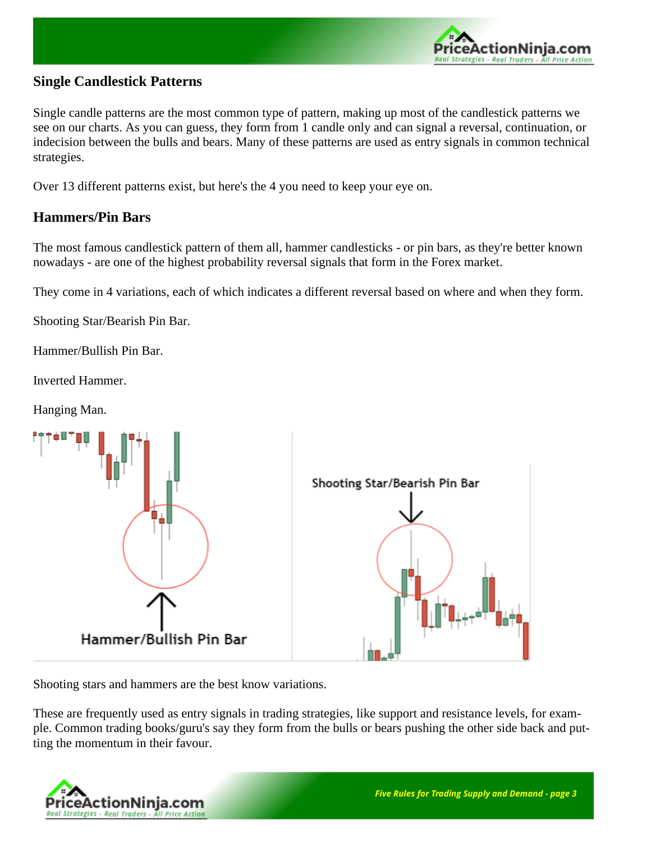

#### <span id="page-2-0"></span>**Single Candlestick Patterns**

Single candle patterns are the most common type of pattern, making up most of the candlestick patterns we see on our charts. As you can guess, they form from 1 candle only and can signal a reversal, continuation, or indecision between the bulls and bears. Many of these patterns are used as entry signals in common technical strategies.

Over 13 different patterns exist, but here's the 4 you need to keep your eye on.

#### <span id="page-2-1"></span>**Hammers/Pin Bars**

The most famous candlestick pattern of them all, hammer candlesticks - or pin bars, as they're better known nowadays - are one of the highest probability reversal signals that form in the Forex market.

They come in 4 variations, each of which indicates a different reversal based on where and when they form.

Shooting Star/Bearish Pin Bar.

Hammer/Bullish Pin Bar.

Inverted Hammer.

Hanging Man.



Shooting stars and hammers are the best know variations.

These are frequently used as entry signals in trading strategies, like support and resistance levels, for example. Common trading books/guru's say they form from the bulls or bears pushing the other side back and putting the momentum in their favour.

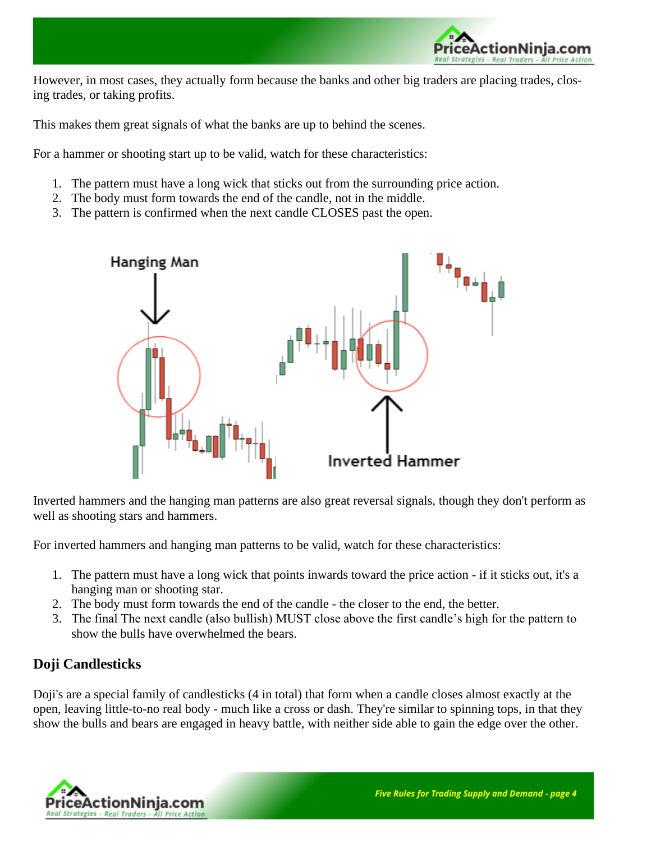

However, in most cases, they actually form because the banks and other big traders are placing trades, closing trades, or taking profits.

This makes them great signals of what the banks are up to behind the scenes.

For a hammer or shooting start up to be valid, watch for these characteristics:

- 1. The pattern must have a long wick that sticks out from the surrounding price action.
- 2. The body must form towards the end of the candle, not in the middle.
- 3. The pattern is confirmed when the next candle CLOSES past the open.



Inverted hammers and the hanging man patterns are also great reversal signals, though they don't perform as well as shooting stars and hammers.

For inverted hammers and hanging man patterns to be valid, watch for these characteristics:

- 1. The pattern must have a long wick that points inwards toward the price action if it sticks out, it's a hanging man or shooting star.
- 2. The body must form towards the end of the candle the closer to the end, the better.
- 3. The final The next candle (also bullish) MUST close above the first candle's high for the pattern to show the bulls have overwhelmed the bears.

#### <span id="page-3-0"></span>**Doji Candlesticks**

Doji's are a special family of candlesticks (4 in total) that form when a candle closes almost exactly at the open, leaving little-to-no real body - much like a cross or dash. They're similar to spinning tops, in that they show the bulls and bears are engaged in heavy battle, with neither side able to gain the edge over the other.

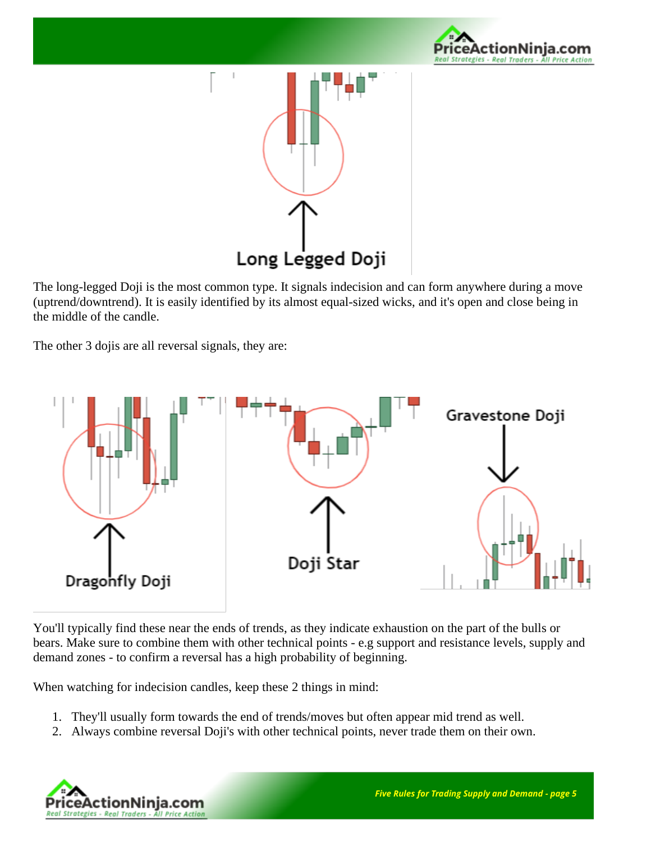



The long-legged Doji is the most common type. It signals indecision and can form anywhere during a move (uptrend/downtrend). It is easily identified by its almost equal-sized wicks, and it's open and close being in the middle of the candle.

The other 3 dojis are all reversal signals, they are:



You'll typically find these near the ends of trends, as they indicate exhaustion on the part of the bulls or bears. Make sure to combine them with other technical points - e.g support and resistance levels, supply and demand zones - to confirm a reversal has a high probability of beginning.

When watching for indecision candles, keep these 2 things in mind:

- 1. They'll usually form towards the end of trends/moves but often appear mid trend as well.
- 2. Always combine reversal Doji's with other technical points, never trade them on their own.

<span id="page-4-0"></span>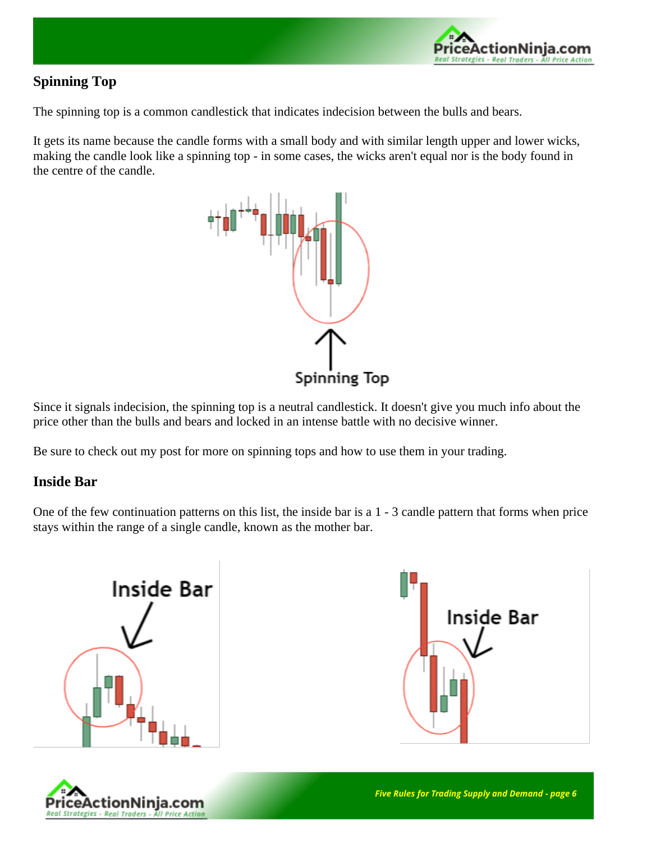

# **Spinning Top**

The spinning top is a common candlestick that indicates indecision between the bulls and bears.

It gets its name because the candle forms with a small body and with similar length upper and lower wicks, making the candle look like a spinning top - in some cases, the wicks aren't equal nor is the body found in the centre of the candle.



Since it signals indecision, the spinning top is a neutral candlestick. It doesn't give you much info about the price other than the bulls and bears and locked in an intense battle with no decisive winner.

Be sure to check out my post for more on spinning tops and how to use them in your trading.

#### <span id="page-5-0"></span>**Inside Bar**

One of the few continuation patterns on this list, the inside bar is a 1 - 3 candle pattern that forms when price stays within the range of a single candle, known as the mother bar.





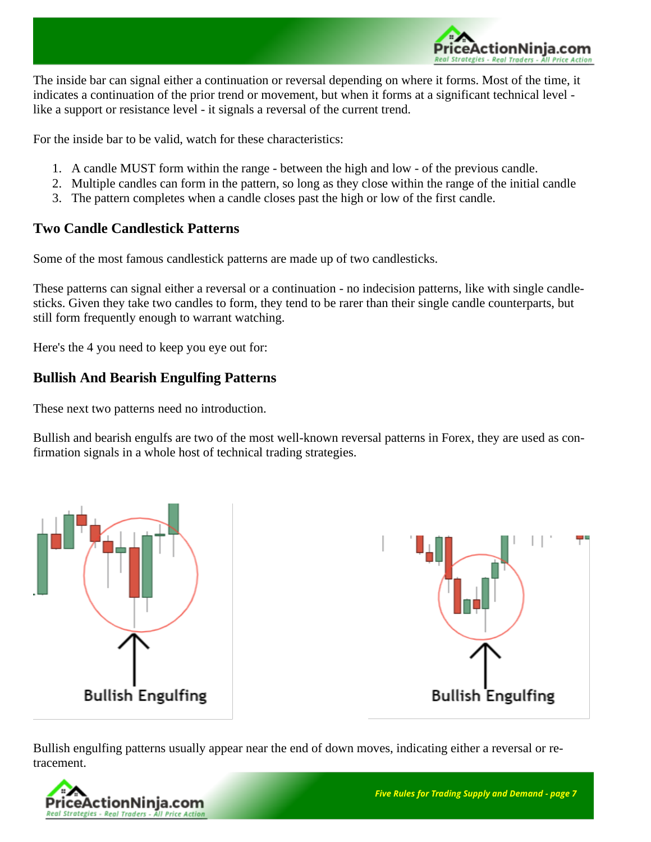

The inside bar can signal either a continuation or reversal depending on where it forms. Most of the time, it indicates a continuation of the prior trend or movement, but when it forms at a significant technical level like a support or resistance level - it signals a reversal of the current trend.

For the inside bar to be valid, watch for these characteristics:

- 1. A candle MUST form within the range between the high and low of the previous candle.
- 2. Multiple candles can form in the pattern, so long as they close within the range of the initial candle
- 3. The pattern completes when a candle closes past the high or low of the first candle.

### <span id="page-6-0"></span>**Two Candle Candlestick Patterns**

Some of the most famous candlestick patterns are made up of two candlesticks.

These patterns can signal either a reversal or a continuation - no indecision patterns, like with single candlesticks. Given they take two candles to form, they tend to be rarer than their single candle counterparts, but still form frequently enough to warrant watching.

Here's the 4 you need to keep you eye out for:

### <span id="page-6-1"></span>**Bullish And Bearish Engulfing Patterns**

These next two patterns need no introduction.

Bullish and bearish engulfs are two of the most well-known reversal patterns in Forex, they are used as confirmation signals in a whole host of technical trading strategies.



Bullish engulfing patterns usually appear near the end of down moves, indicating either a reversal or retracement.

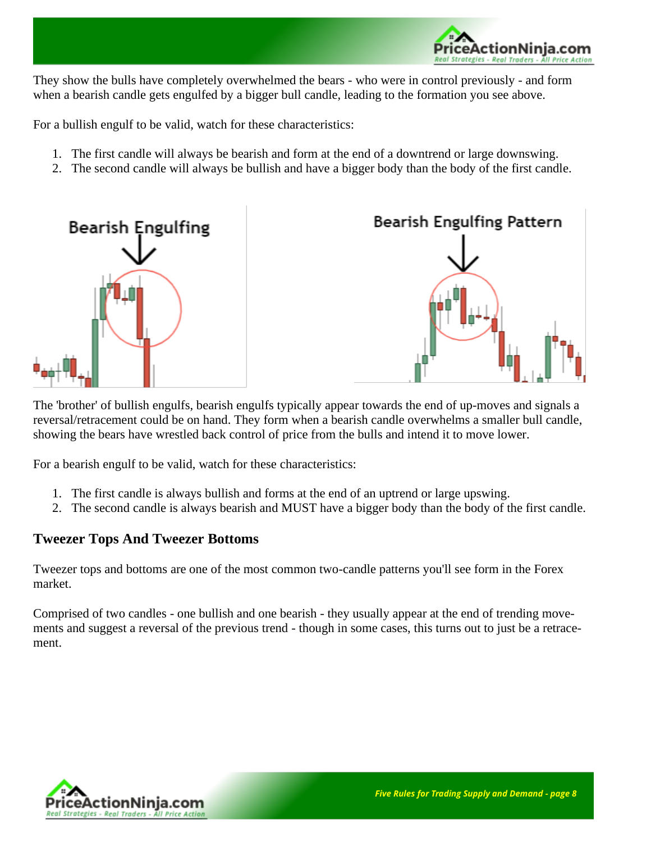

They show the bulls have completely overwhelmed the bears - who were in control previously - and form when a bearish candle gets engulfed by a bigger bull candle, leading to the formation you see above.

For a bullish engulf to be valid, watch for these characteristics:

- 1. The first candle will always be bearish and form at the end of a downtrend or large downswing.
- 2. The second candle will always be bullish and have a bigger body than the body of the first candle.



The 'brother' of bullish engulfs, bearish engulfs typically appear towards the end of up-moves and signals a reversal/retracement could be on hand. They form when a bearish candle overwhelms a smaller bull candle, showing the bears have wrestled back control of price from the bulls and intend it to move lower.

For a bearish engulf to be valid, watch for these characteristics:

- 1. The first candle is always bullish and forms at the end of an uptrend or large upswing.
- 2. The second candle is always bearish and MUST have a bigger body than the body of the first candle.

## <span id="page-7-0"></span>**Tweezer Tops And Tweezer Bottoms**

Tweezer tops and bottoms are one of the most common two-candle patterns you'll see form in the Forex market.

Comprised of two candles - one bullish and one bearish - they usually appear at the end of trending movements and suggest a reversal of the previous trend - though in some cases, this turns out to just be a retracement.

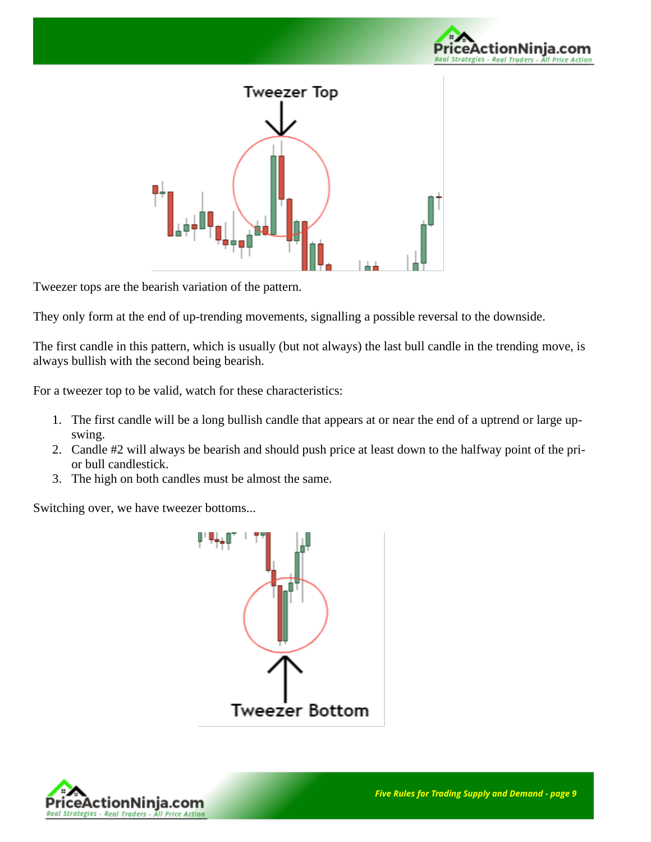



Tweezer tops are the bearish variation of the pattern.

They only form at the end of up-trending movements, signalling a possible reversal to the downside.

The first candle in this pattern, which is usually (but not always) the last bull candle in the trending move, is always bullish with the second being bearish.

For a tweezer top to be valid, watch for these characteristics:

- 1. The first candle will be a long bullish candle that appears at or near the end of a uptrend or large upswing.
- 2. Candle #2 will always be bearish and should push price at least down to the halfway point of the prior bull candlestick.
- 3. The high on both candles must be almost the same.

Switching over, we have tweezer bottoms...



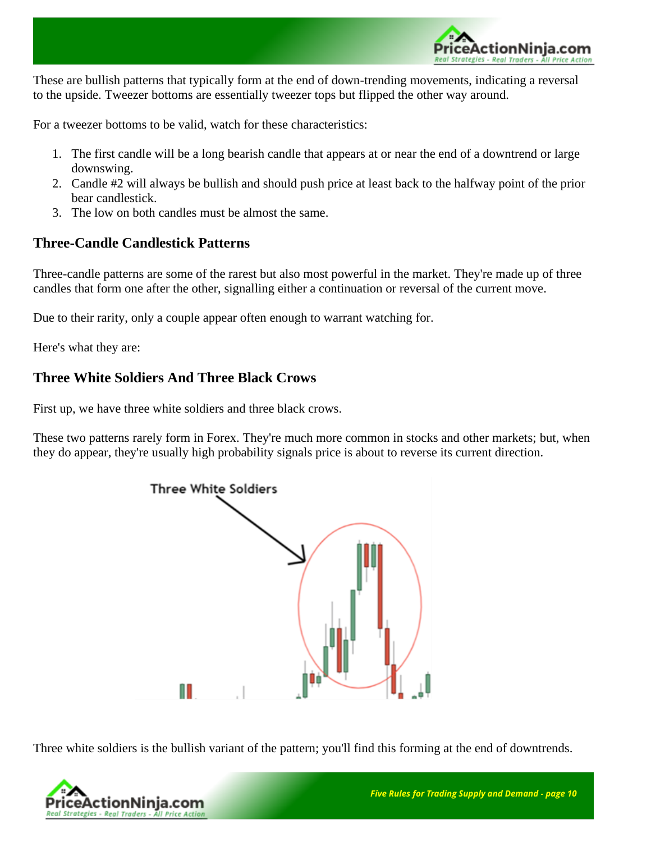

These are bullish patterns that typically form at the end of down-trending movements, indicating a reversal to the upside. Tweezer bottoms are essentially tweezer tops but flipped the other way around.

For a tweezer bottoms to be valid, watch for these characteristics:

- 1. The first candle will be a long bearish candle that appears at or near the end of a downtrend or large downswing.
- 2. Candle #2 will always be bullish and should push price at least back to the halfway point of the prior bear candlestick.
- 3. The low on both candles must be almost the same.

### <span id="page-9-0"></span>**Three-Candle Candlestick Patterns**

Three-candle patterns are some of the rarest but also most powerful in the market. They're made up of three candles that form one after the other, signalling either a continuation or reversal of the current move.

Due to their rarity, only a couple appear often enough to warrant watching for.

Here's what they are:

### <span id="page-9-1"></span>**Three White Soldiers And Three Black Crows**

First up, we have three white soldiers and three black crows.

These two patterns rarely form in Forex. They're much more common in stocks and other markets; but, when they do appear, they're usually high probability signals price is about to reverse its current direction.



Three white soldiers is the bullish variant of the pattern; you'll find this forming at the end of downtrends.

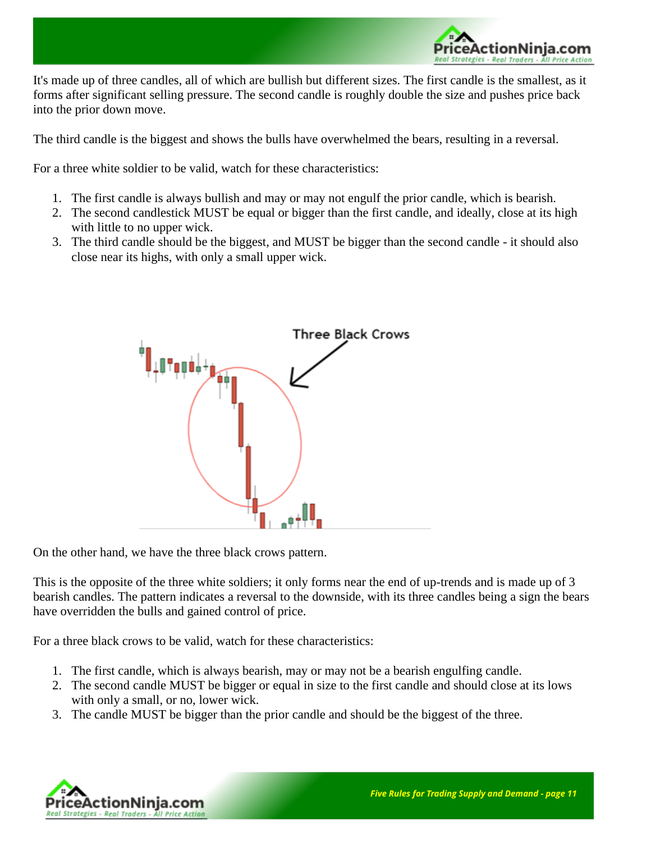

It's made up of three candles, all of which are bullish but different sizes. The first candle is the smallest, as it forms after significant selling pressure. The second candle is roughly double the size and pushes price back into the prior down move.

The third candle is the biggest and shows the bulls have overwhelmed the bears, resulting in a reversal.

For a three white soldier to be valid, watch for these characteristics:

- 1. The first candle is always bullish and may or may not engulf the prior candle, which is bearish.
- 2. The second candlestick MUST be equal or bigger than the first candle, and ideally, close at its high with little to no upper wick.
- 3. The third candle should be the biggest, and MUST be bigger than the second candle it should also close near its highs, with only a small upper wick.



On the other hand, we have the three black crows pattern.

This is the opposite of the three white soldiers; it only forms near the end of up-trends and is made up of 3 bearish candles. The pattern indicates a reversal to the downside, with its three candles being a sign the bears have overridden the bulls and gained control of price.

For a three black crows to be valid, watch for these characteristics:

- 1. The first candle, which is always bearish, may or may not be a bearish engulfing candle.
- 2. The second candle MUST be bigger or equal in size to the first candle and should close at its lows with only a small, or no, lower wick.
- 3. The candle MUST be bigger than the prior candle and should be the biggest of the three.

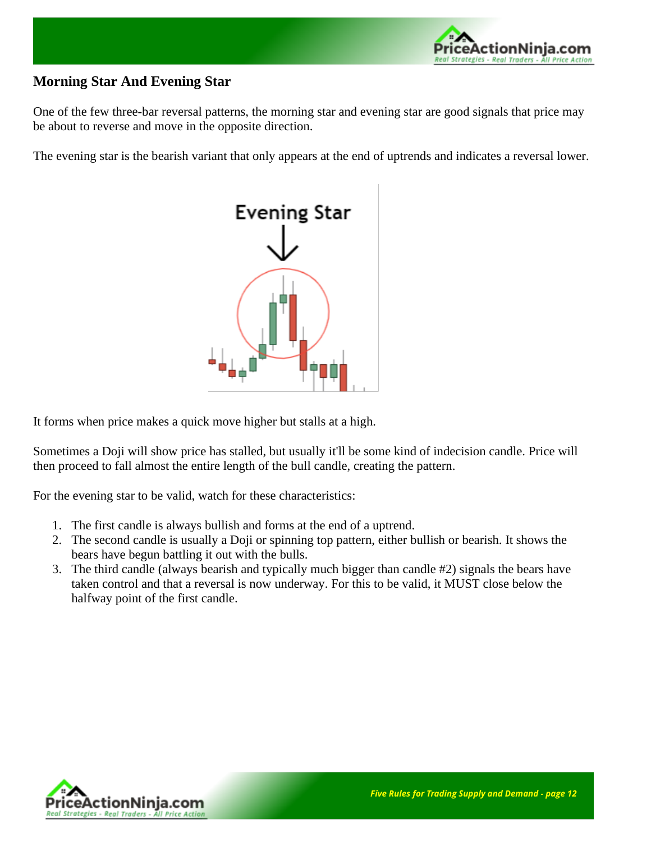

# <span id="page-11-0"></span>**Morning Star And Evening Star**

One of the few three-bar reversal patterns, the morning star and evening star are good signals that price may be about to reverse and move in the opposite direction.

The evening star is the bearish variant that only appears at the end of uptrends and indicates a reversal lower.



It forms when price makes a quick move higher but stalls at a high.

Sometimes a Doji will show price has stalled, but usually it'll be some kind of indecision candle. Price will then proceed to fall almost the entire length of the bull candle, creating the pattern.

For the evening star to be valid, watch for these characteristics:

- 1. The first candle is always bullish and forms at the end of a uptrend.
- 2. The second candle is usually a Doji or spinning top pattern, either bullish or bearish. It shows the bears have begun battling it out with the bulls.
- 3. The third candle (always bearish and typically much bigger than candle #2) signals the bears have taken control and that a reversal is now underway. For this to be valid, it MUST close below the halfway point of the first candle.

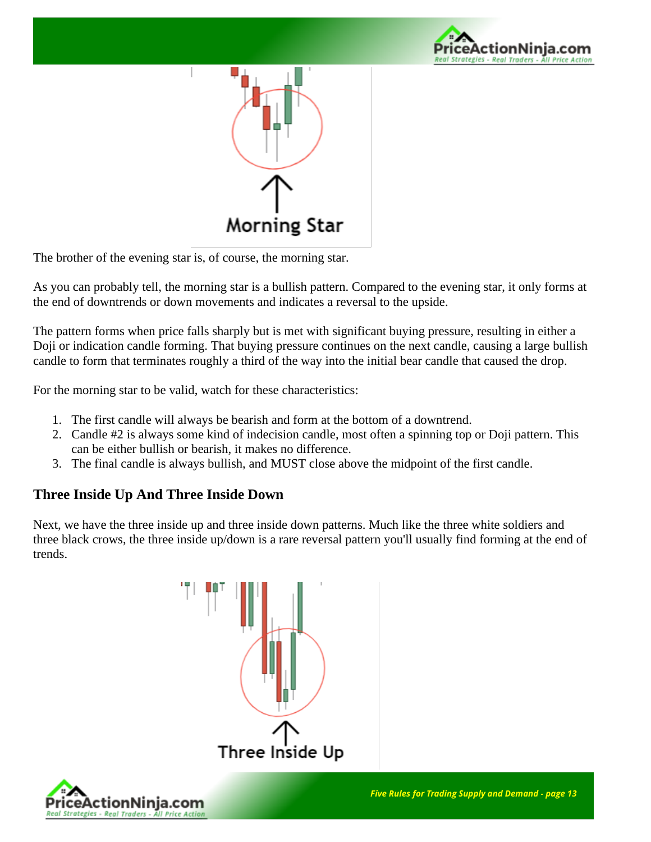



The brother of the evening star is, of course, the morning star.

As you can probably tell, the morning star is a bullish pattern. Compared to the evening star, it only forms at the end of downtrends or down movements and indicates a reversal to the upside.

The pattern forms when price falls sharply but is met with significant buying pressure, resulting in either a Doji or indication candle forming. That buying pressure continues on the next candle, causing a large bullish candle to form that terminates roughly a third of the way into the initial bear candle that caused the drop.

For the morning star to be valid, watch for these characteristics:

- 1. The first candle will always be bearish and form at the bottom of a downtrend.
- 2. Candle #2 is always some kind of indecision candle, most often a spinning top or Doji pattern. This can be either bullish or bearish, it makes no difference.
- 3. The final candle is always bullish, and MUST close above the midpoint of the first candle.

#### <span id="page-12-0"></span>**Three Inside Up And Three Inside Down**

Next, we have the three inside up and three inside down patterns. Much like the three white soldiers and three black crows, the three inside up/down is a rare reversal pattern you'll usually find forming at the end of trends.



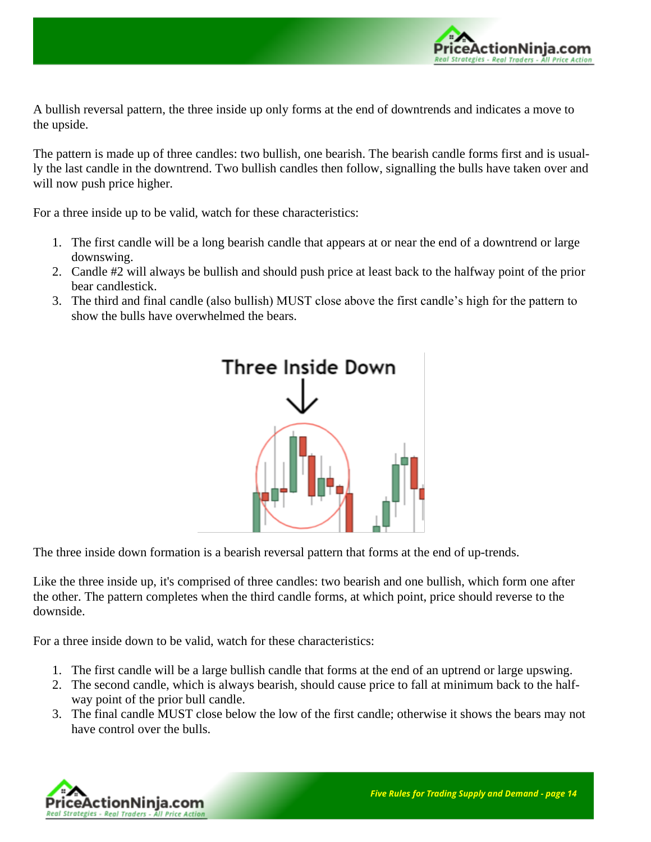

A bullish reversal pattern, the three inside up only forms at the end of downtrends and indicates a move to the upside.

The pattern is made up of three candles: two bullish, one bearish. The bearish candle forms first and is usually the last candle in the downtrend. Two bullish candles then follow, signalling the bulls have taken over and will now push price higher.

For a three inside up to be valid, watch for these characteristics:

- 1. The first candle will be a long bearish candle that appears at or near the end of a downtrend or large downswing.
- 2. Candle #2 will always be bullish and should push price at least back to the halfway point of the prior bear candlestick.
- 3. The third and final candle (also bullish) MUST close above the first candle's high for the pattern to show the bulls have overwhelmed the bears.



The three inside down formation is a bearish reversal pattern that forms at the end of up-trends.

Like the three inside up, it's comprised of three candles: two bearish and one bullish, which form one after the other. The pattern completes when the third candle forms, at which point, price should reverse to the downside.

For a three inside down to be valid, watch for these characteristics:

- 1. The first candle will be a large bullish candle that forms at the end of an uptrend or large upswing.
- 2. The second candle, which is always bearish, should cause price to fall at minimum back to the halfway point of the prior bull candle.
- 3. The final candle MUST close below the low of the first candle; otherwise it shows the bears may not have control over the bulls.

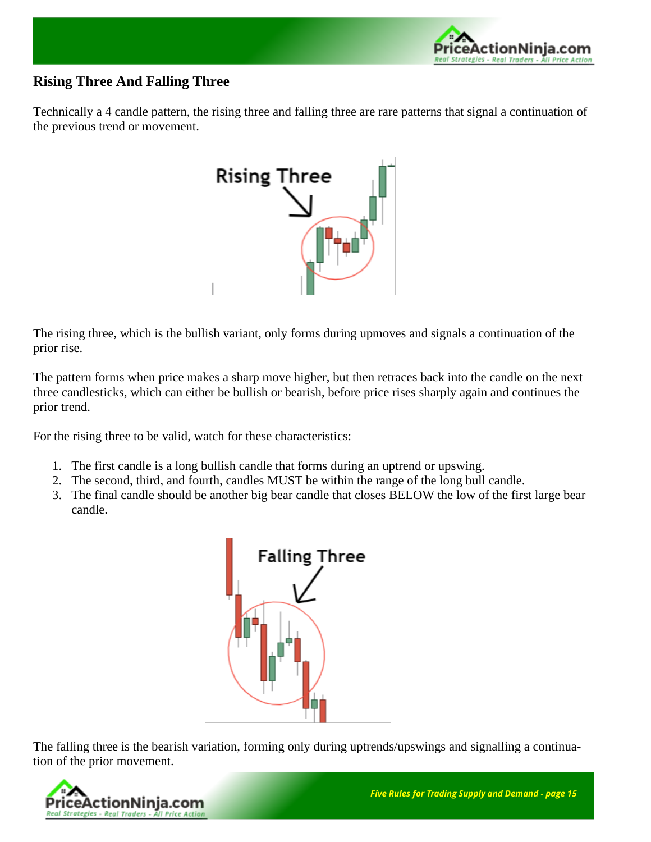

# <span id="page-14-0"></span>**Rising Three And Falling Three**

Technically a 4 candle pattern, the rising three and falling three are rare patterns that signal a continuation of the previous trend or movement.



The rising three, which is the bullish variant, only forms during upmoves and signals a continuation of the prior rise.

The pattern forms when price makes a sharp move higher, but then retraces back into the candle on the next three candlesticks, which can either be bullish or bearish, before price rises sharply again and continues the prior trend.

For the rising three to be valid, watch for these characteristics:

- 1. The first candle is a long bullish candle that forms during an uptrend or upswing.
- 2. The second, third, and fourth, candles MUST be within the range of the long bull candle.
- 3. The final candle should be another big bear candle that closes BELOW the low of the first large bear candle.



The falling three is the bearish variation, forming only during uptrends/upswings and signalling a continuation of the prior movement.